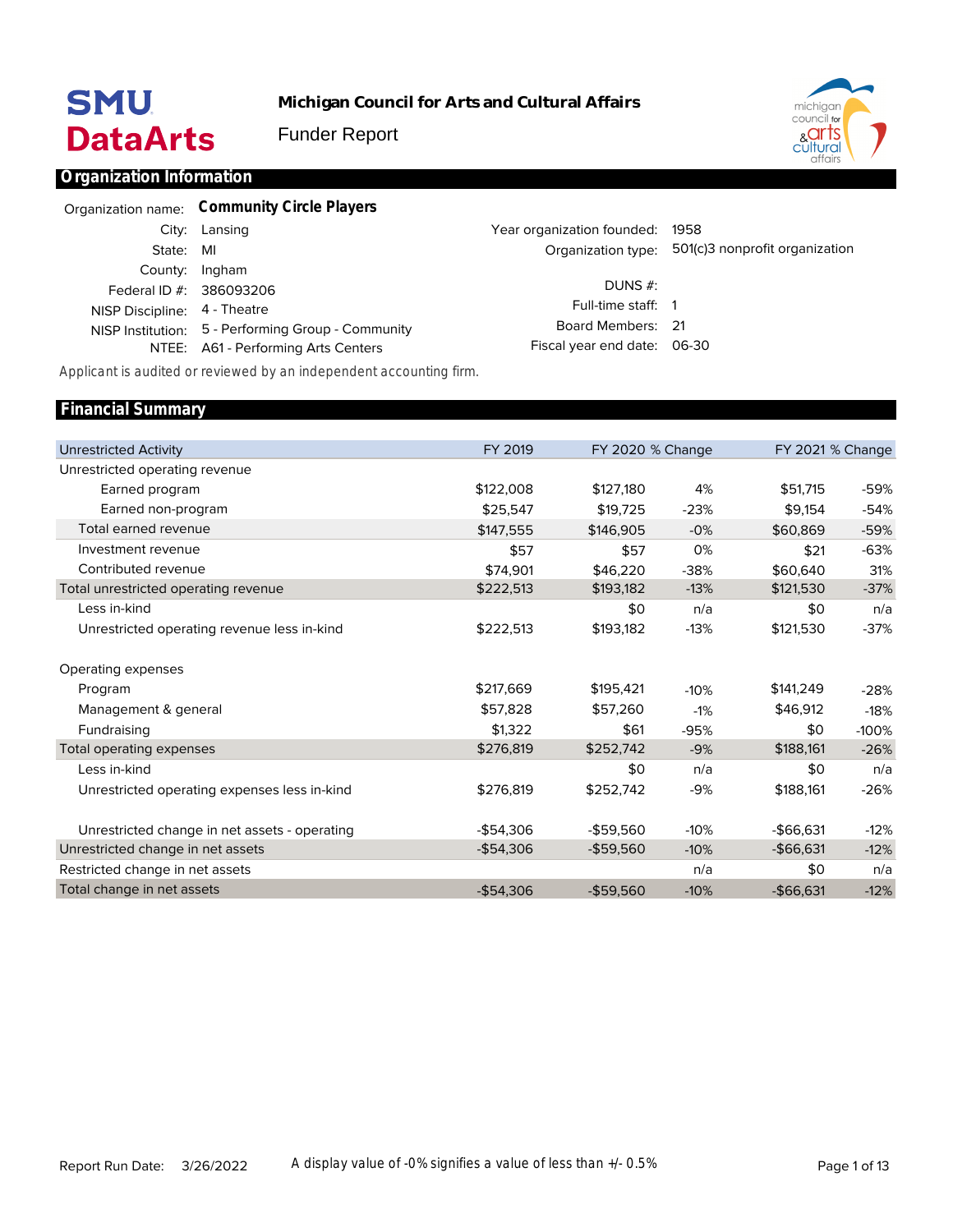# **SMU DataArts**

**Financial Summary**

**Michigan Council for Arts and Cultural Affairs**

Funder Report



# **Organization Information**

|                              | Organization name: Community Circle Players        |                                 |                                |
|------------------------------|----------------------------------------------------|---------------------------------|--------------------------------|
|                              | City: Lansing                                      | Year organization founded: 1958 |                                |
| State: MI                    |                                                    | Organization type:              | 501(c)3 nonprofit organization |
|                              | County: Ingham                                     | DUNS $#$ :                      |                                |
|                              | Federal ID #: 386093206                            | Full-time staff: 1              |                                |
| NISP Discipline: 4 - Theatre | NISP Institution: 5 - Performing Group - Community | Board Members: 21               |                                |
|                              | NTEE: A61 - Performing Arts Centers                | Fiscal year end date: 06-30     |                                |
|                              |                                                    |                                 |                                |

*Applicant is audited or reviewed by an independent accounting firm.*

|           |                                        | FY 2021 % Change                                                                                                                                                                                                                                                                                                              |
|-----------|----------------------------------------|-------------------------------------------------------------------------------------------------------------------------------------------------------------------------------------------------------------------------------------------------------------------------------------------------------------------------------|
|           |                                        |                                                                                                                                                                                                                                                                                                                               |
| \$127,180 | 4%                                     | -59%                                                                                                                                                                                                                                                                                                                          |
| \$19,725  |                                        | $-54%$                                                                                                                                                                                                                                                                                                                        |
| \$146,905 | $-0%$                                  | -59%                                                                                                                                                                                                                                                                                                                          |
| \$57      | 0%                                     | $-63%$                                                                                                                                                                                                                                                                                                                        |
| \$46,220  |                                        | 31%                                                                                                                                                                                                                                                                                                                           |
| \$193,182 |                                        | $-37%$                                                                                                                                                                                                                                                                                                                        |
| \$0       | n/a                                    | n/a                                                                                                                                                                                                                                                                                                                           |
| \$193,182 |                                        | $-37%$                                                                                                                                                                                                                                                                                                                        |
|           |                                        |                                                                                                                                                                                                                                                                                                                               |
| \$195,421 |                                        | $-28%$                                                                                                                                                                                                                                                                                                                        |
| \$57,260  | $-1%$                                  | $-18%$                                                                                                                                                                                                                                                                                                                        |
| \$61      |                                        | $-100%$                                                                                                                                                                                                                                                                                                                       |
| \$252,742 | $-9%$                                  | $-26%$                                                                                                                                                                                                                                                                                                                        |
| \$0       | n/a                                    | n/a                                                                                                                                                                                                                                                                                                                           |
| \$252,742 | $-9%$                                  | $-26%$                                                                                                                                                                                                                                                                                                                        |
|           |                                        | $-12%$                                                                                                                                                                                                                                                                                                                        |
|           |                                        | $-12%$                                                                                                                                                                                                                                                                                                                        |
|           |                                        | n/a                                                                                                                                                                                                                                                                                                                           |
|           |                                        | $-12%$                                                                                                                                                                                                                                                                                                                        |
|           | $-$59.560$<br>$-$59,560$<br>$-$59,560$ | FY 2020 % Change<br>\$51,715<br>\$9,154<br>$-23%$<br>\$60,869<br>\$21<br>$-38%$<br>\$60,640<br>$-13%$<br>\$121,530<br>\$0<br>\$121,530<br>$-13%$<br>\$141,249<br>$-10%$<br>\$46,912<br>\$0<br>$-95%$<br>\$188,161<br>\$0<br>\$188,161<br>$-10%$<br>$-$66.631$<br>$-$ \$66,631<br>$-10%$<br>\$0<br>n/a<br>$-10%$<br>$-$66,631$ |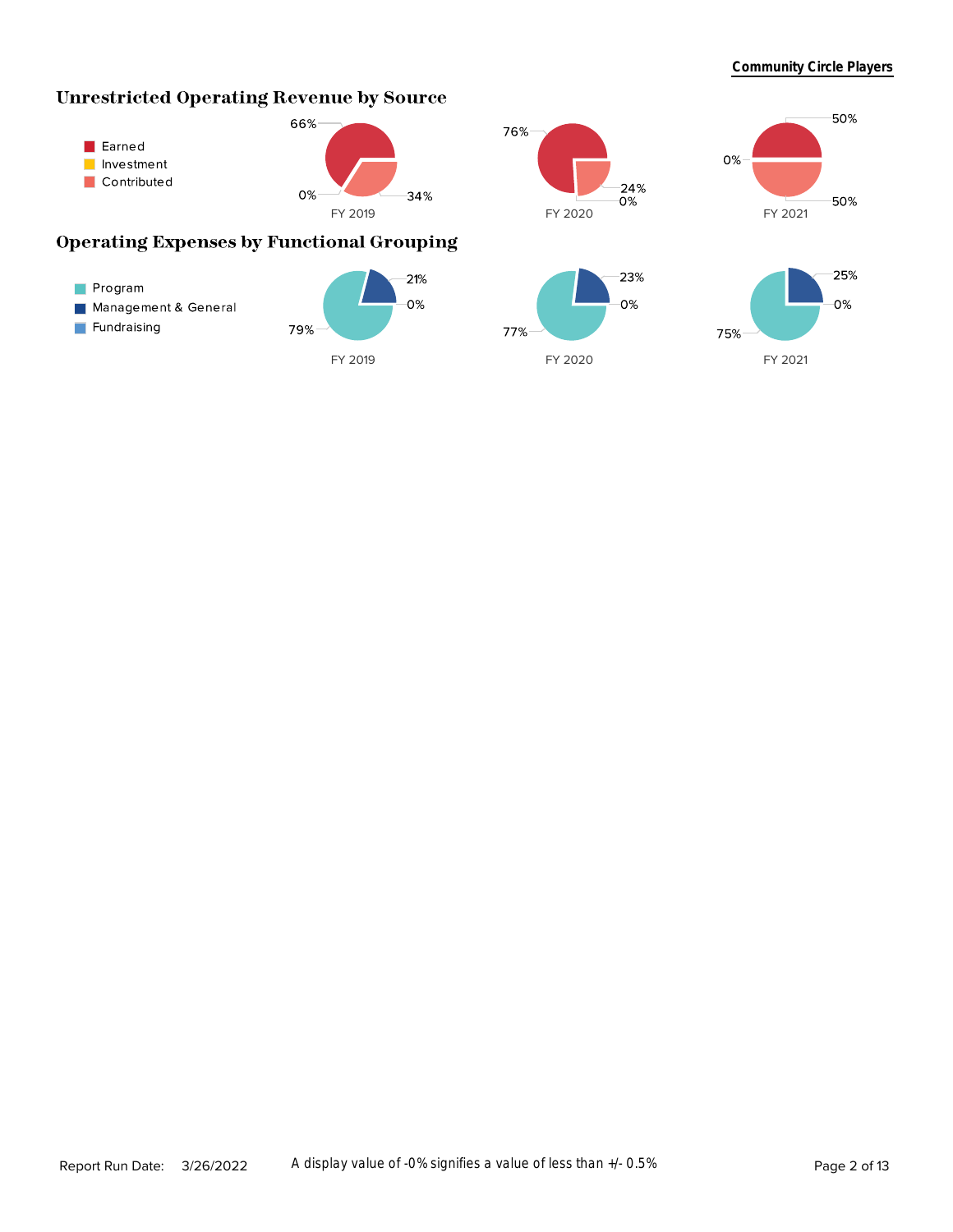# **Unrestricted Operating Revenue by Source**









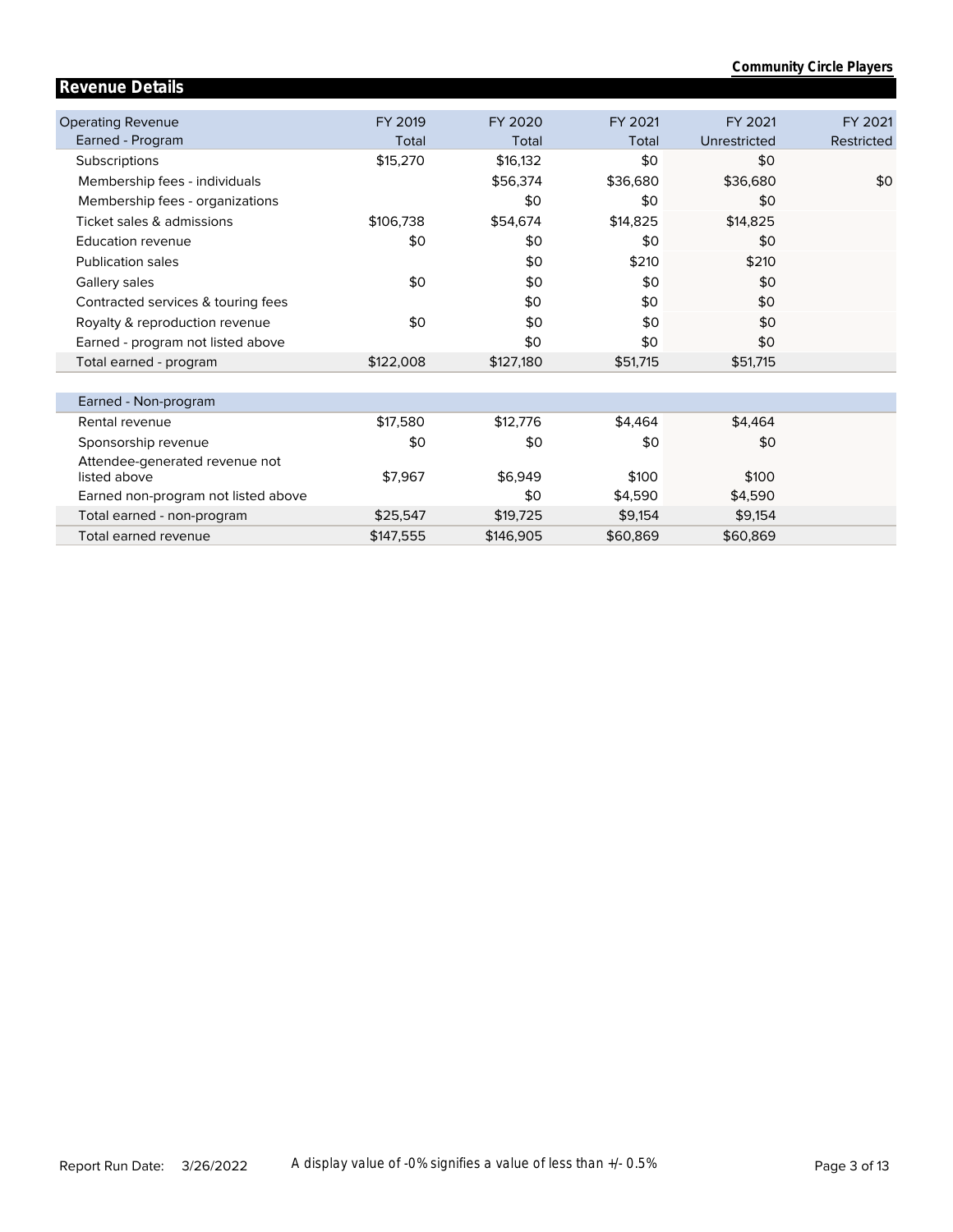|                                     |           |           |          |              | <b>Community Circle Players</b> |
|-------------------------------------|-----------|-----------|----------|--------------|---------------------------------|
| <b>Revenue Details</b>              |           |           |          |              |                                 |
|                                     |           |           |          |              |                                 |
| <b>Operating Revenue</b>            | FY 2019   | FY 2020   | FY 2021  | FY 2021      | FY 2021                         |
| Earned - Program                    | Total     | Total     | Total    | Unrestricted | Restricted                      |
| Subscriptions                       | \$15,270  | \$16,132  | \$0      | \$0          |                                 |
| Membership fees - individuals       |           | \$56,374  | \$36,680 | \$36,680     | \$0                             |
| Membership fees - organizations     |           | \$0       | \$0      | \$0          |                                 |
| Ticket sales & admissions           | \$106,738 | \$54,674  | \$14,825 | \$14,825     |                                 |
| <b>Education revenue</b>            | \$0       | \$0       | \$0      | \$0          |                                 |
| <b>Publication sales</b>            |           | \$0       | \$210    | \$210        |                                 |
| Gallery sales                       | \$0       | \$0       | \$0      | \$0          |                                 |
| Contracted services & touring fees  |           | \$0       | \$0      | \$0          |                                 |
| Royalty & reproduction revenue      | \$0       | \$0       | \$0      | \$0          |                                 |
| Earned - program not listed above   |           | \$0       | \$0      | \$0          |                                 |
| Total earned - program              | \$122,008 | \$127,180 | \$51,715 | \$51,715     |                                 |
|                                     |           |           |          |              |                                 |
| Earned - Non-program                |           |           |          |              |                                 |
| Rental revenue                      | \$17,580  | \$12,776  | \$4,464  | \$4,464      |                                 |
| Sponsorship revenue                 | \$0       | \$0       | \$0      | \$0          |                                 |
| Attendee-generated revenue not      |           |           |          |              |                                 |
| listed above                        | \$7,967   | \$6.949   | \$100    | \$100        |                                 |
| Earned non-program not listed above |           | \$0       | \$4,590  | \$4,590      |                                 |
| Total earned - non-program          | \$25,547  | \$19,725  | \$9,154  | \$9,154      |                                 |
| Total earned revenue                | \$147.555 | \$146.905 | \$60.869 | \$60.869     |                                 |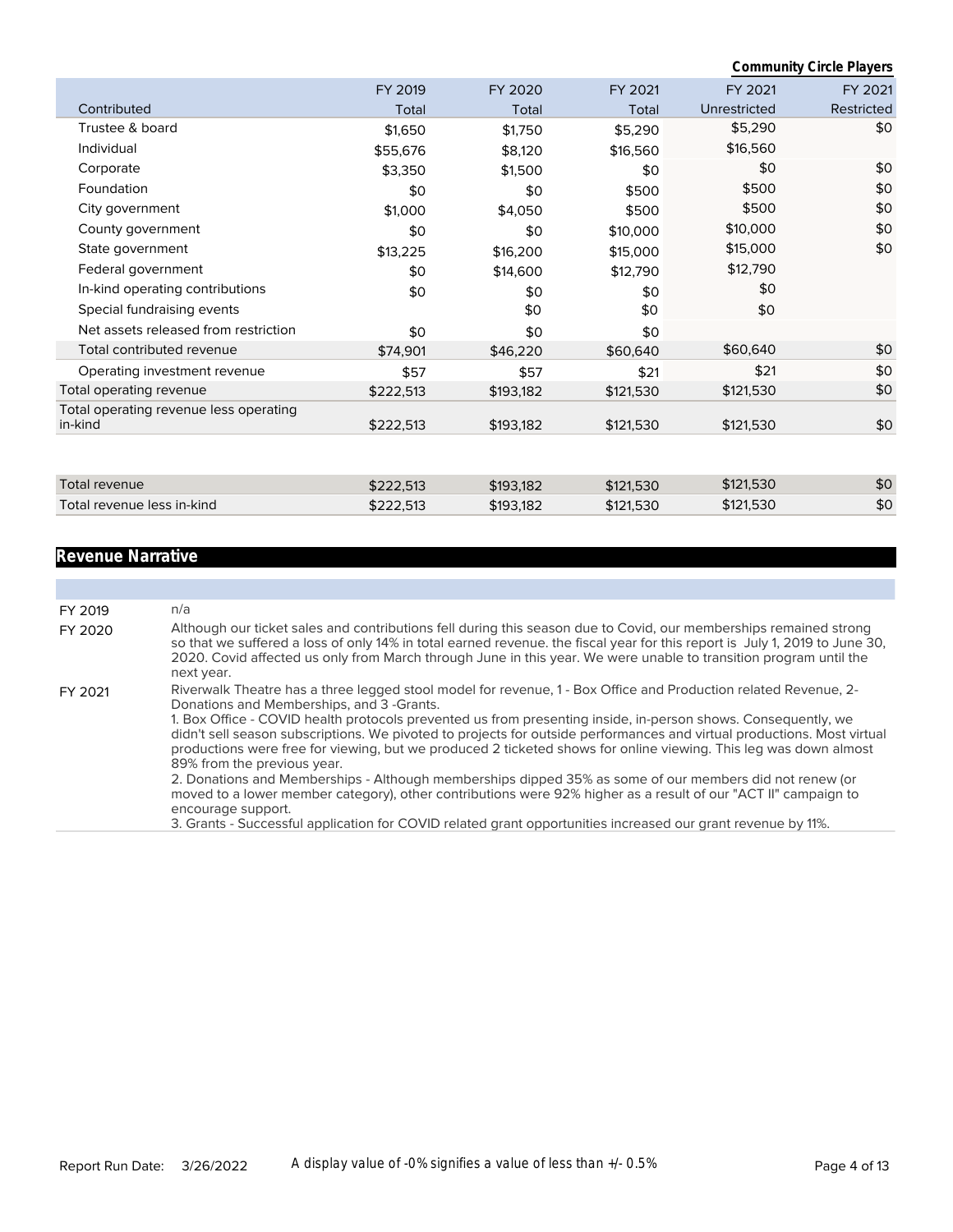|                                                   |           |           |           |              | <b>Community Circle Players</b> |
|---------------------------------------------------|-----------|-----------|-----------|--------------|---------------------------------|
|                                                   | FY 2019   | FY 2020   | FY 2021   | FY 2021      | FY 2021                         |
| Contributed                                       | Total     | Total     | Total     | Unrestricted | Restricted                      |
| Trustee & board                                   | \$1,650   | \$1,750   | \$5,290   | \$5,290      | \$0                             |
| Individual                                        | \$55,676  | \$8,120   | \$16,560  | \$16,560     |                                 |
| Corporate                                         | \$3,350   | \$1,500   | \$0       | \$0          | \$0                             |
| Foundation                                        | \$0       | \$0       | \$500     | \$500        | \$0                             |
| City government                                   | \$1,000   | \$4,050   | \$500     | \$500        | \$0                             |
| County government                                 | \$0       | \$0       | \$10,000  | \$10,000     | \$0                             |
| State government                                  | \$13,225  | \$16,200  | \$15,000  | \$15,000     | \$0                             |
| Federal government                                | \$0       | \$14,600  | \$12,790  | \$12,790     |                                 |
| In-kind operating contributions                   | \$0       | \$0       | \$0       | \$0          |                                 |
| Special fundraising events                        |           | \$0       | \$0       | \$0          |                                 |
| Net assets released from restriction              | \$0       | \$0       | \$0       |              |                                 |
| Total contributed revenue                         | \$74,901  | \$46,220  | \$60,640  | \$60,640     | \$0                             |
| Operating investment revenue                      | \$57      | \$57      | \$21      | \$21         | \$0                             |
| Total operating revenue                           | \$222,513 | \$193,182 | \$121,530 | \$121,530    | \$0                             |
| Total operating revenue less operating<br>in-kind | \$222,513 | \$193,182 | \$121,530 | \$121,530    | \$0                             |
|                                                   |           |           |           |              |                                 |
| Total revenue                                     | \$222,513 | \$193,182 | \$121,530 | \$121,530    | \$0                             |
| Total revenue less in-kind                        | \$222,513 | \$193,182 | \$121,530 | \$121,530    | \$0                             |

# **Revenue Narrative**

| FY 2019 | n/a                                                                                                                                                                                                                                                                                                                                                                                         |
|---------|---------------------------------------------------------------------------------------------------------------------------------------------------------------------------------------------------------------------------------------------------------------------------------------------------------------------------------------------------------------------------------------------|
| FY 2020 | Although our ticket sales and contributions fell during this season due to Covid, our memberships remained strong<br>so that we suffered a loss of only 14% in total earned revenue. the fiscal year for this report is July 1, 2019 to June 30,<br>2020. Covid affected us only from March through June in this year. We were unable to transition program until the<br>next year.         |
| FY 2021 | Riverwalk Theatre has a three legged stool model for revenue, 1 - Box Office and Production related Revenue, 2-<br>Donations and Memberships, and 3-Grants.                                                                                                                                                                                                                                 |
|         | 1. Box Office - COVID health protocols prevented us from presenting inside, in-person shows. Consequently, we<br>didn't sell season subscriptions. We pivoted to projects for outside performances and virtual productions. Most virtual<br>productions were free for viewing, but we produced 2 ticketed shows for online viewing. This leg was down almost<br>89% from the previous year. |
|         | 2. Donations and Memberships - Although memberships dipped 35% as some of our members did not renew (or<br>moved to a lower member category), other contributions were 92% higher as a result of our "ACT II" campaign to<br>encourage support.                                                                                                                                             |
|         | 3. Grants - Successful application for COVID related grant opportunities increased our grant revenue by 11%.                                                                                                                                                                                                                                                                                |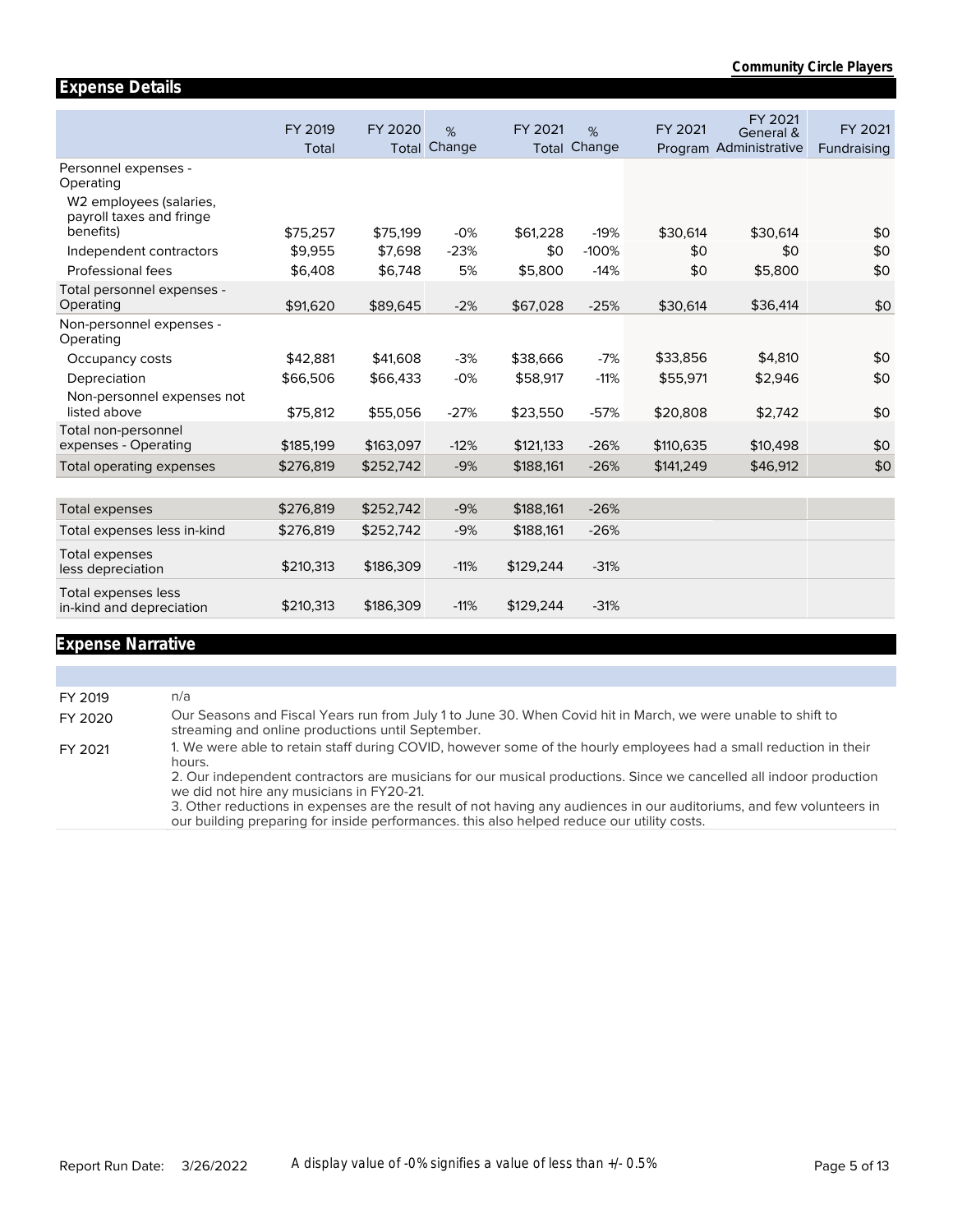|                                                                  | FY 2019   | FY 2020   | %      | FY 2021   | %                   | FY 2021   | FY 2021<br>General &   | FY 2021     |
|------------------------------------------------------------------|-----------|-----------|--------|-----------|---------------------|-----------|------------------------|-------------|
|                                                                  | Total     | Total     | Change |           | <b>Total Change</b> |           | Program Administrative | Fundraising |
| Personnel expenses -<br>Operating                                |           |           |        |           |                     |           |                        |             |
| W2 employees (salaries,<br>payroll taxes and fringe<br>benefits) |           |           |        |           |                     |           |                        |             |
|                                                                  | \$75,257  | \$75,199  | $-0%$  | \$61,228  | $-19%$              | \$30,614  | \$30,614               | \$0         |
| Independent contractors                                          | \$9.955   | \$7,698   | $-23%$ | \$0       | $-100%$             | \$0       | \$0                    | \$0         |
| Professional fees                                                | \$6,408   | \$6,748   | 5%     | \$5,800   | $-14%$              | \$0       | \$5,800                | \$0         |
| Total personnel expenses -<br>Operating                          | \$91,620  | \$89,645  | $-2%$  | \$67,028  | $-25%$              | \$30,614  | \$36,414               | \$0         |
| Non-personnel expenses -<br>Operating                            |           |           |        |           |                     |           |                        |             |
| Occupancy costs                                                  | \$42,881  | \$41,608  | $-3%$  | \$38,666  | $-7%$               | \$33,856  | \$4,810                | \$0         |
| Depreciation                                                     | \$66,506  | \$66,433  | $-0%$  | \$58,917  | $-11%$              | \$55,971  | \$2,946                | \$0         |
| Non-personnel expenses not                                       |           |           |        |           |                     |           |                        |             |
| listed above                                                     | \$75,812  | \$55,056  | $-27%$ | \$23,550  | $-57%$              | \$20,808  | \$2,742                | \$0         |
| Total non-personnel                                              |           |           |        |           |                     |           |                        |             |
| expenses - Operating                                             | \$185,199 | \$163,097 | $-12%$ | \$121,133 | $-26%$              | \$110,635 | \$10,498               | \$0         |
| Total operating expenses                                         | \$276,819 | \$252,742 | $-9%$  | \$188,161 | $-26%$              | \$141,249 | \$46,912               | \$0         |
|                                                                  |           |           |        |           |                     |           |                        |             |
| <b>Total expenses</b>                                            | \$276,819 | \$252,742 | $-9%$  | \$188,161 | $-26%$              |           |                        |             |
| Total expenses less in-kind                                      | \$276,819 | \$252,742 | $-9%$  | \$188,161 | $-26%$              |           |                        |             |
| Total expenses<br>less depreciation                              | \$210,313 | \$186,309 | $-11%$ | \$129,244 | $-31%$              |           |                        |             |
| Total expenses less<br>in-kind and depreciation                  | \$210,313 | \$186,309 | $-11%$ | \$129,244 | $-31%$              |           |                        |             |

# **Expense Narrative**

**Expense Details**

| FY 2019 | n/a                                                                                                                                                                                                                |
|---------|--------------------------------------------------------------------------------------------------------------------------------------------------------------------------------------------------------------------|
| FY 2020 | Our Seasons and Fiscal Years run from July 1 to June 30. When Covid hit in March, we were unable to shift to<br>streaming and online productions until September.                                                  |
| FY 2021 | 1. We were able to retain staff during COVID, however some of the hourly employees had a small reduction in their<br>hours.                                                                                        |
|         | 2. Our independent contractors are musicians for our musical productions. Since we cancelled all indoor production<br>we did not hire any musicians in FY20-21.                                                    |
|         | 3. Other reductions in expenses are the result of not having any audiences in our auditoriums, and few volunteers in<br>our building preparing for inside performances, this also helped reduce our utility costs. |
|         |                                                                                                                                                                                                                    |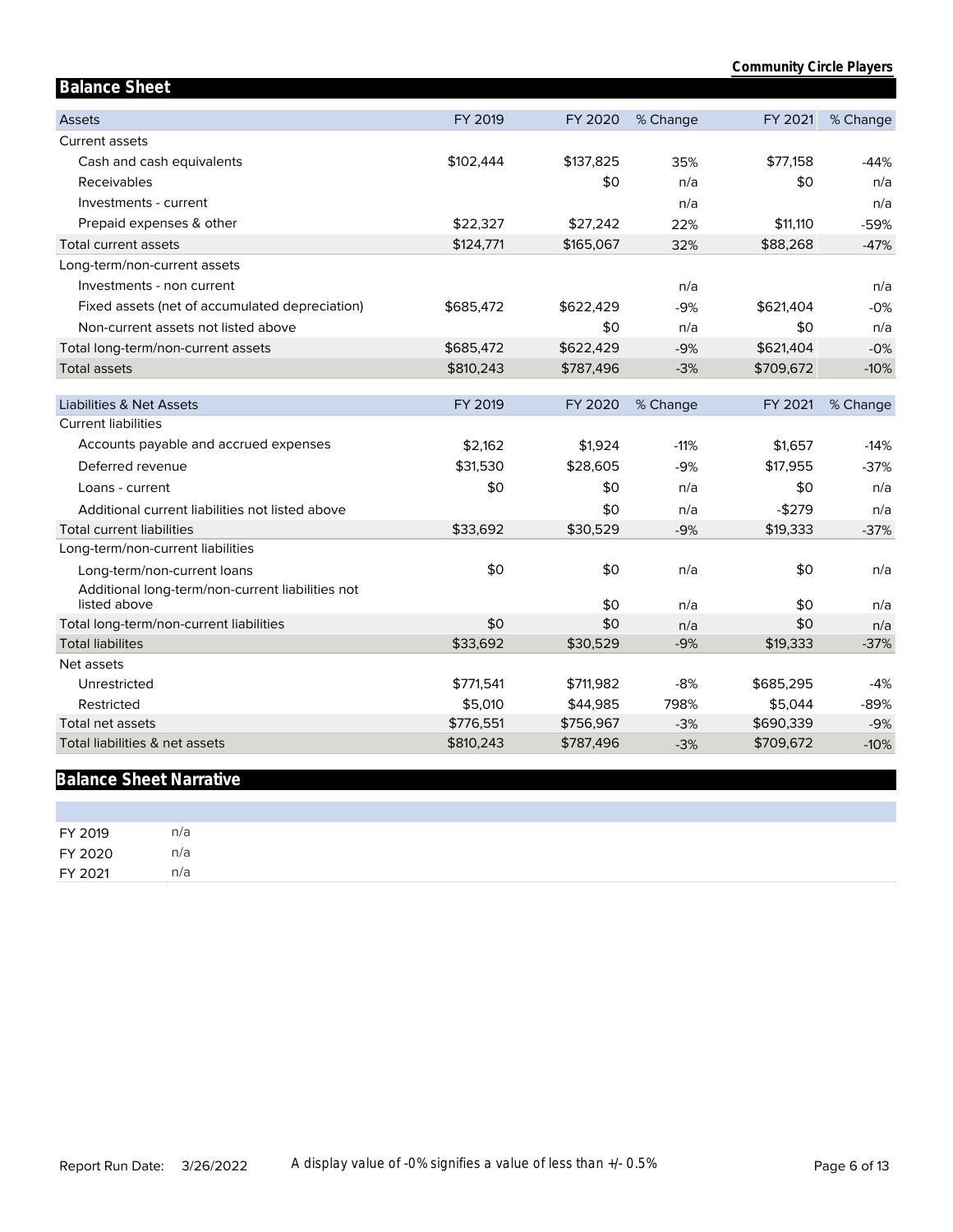| <b>Balance Sheet</b>                                             |           |           |          |           |          |
|------------------------------------------------------------------|-----------|-----------|----------|-----------|----------|
| Assets                                                           | FY 2019   | FY 2020   | % Change | FY 2021   | % Change |
| Current assets                                                   |           |           |          |           |          |
| Cash and cash equivalents                                        | \$102,444 | \$137,825 | 35%      | \$77,158  | $-44%$   |
| Receivables                                                      |           | \$0       | n/a      | \$0       | n/a      |
| Investments - current                                            |           |           | n/a      |           | n/a      |
| Prepaid expenses & other                                         | \$22,327  | \$27,242  | 22%      | \$11,110  | $-59%$   |
| <b>Total current assets</b>                                      | \$124,771 | \$165,067 | 32%      | \$88,268  | $-47%$   |
| Long-term/non-current assets                                     |           |           |          |           |          |
| Investments - non current                                        |           |           | n/a      |           | n/a      |
| Fixed assets (net of accumulated depreciation)                   | \$685,472 | \$622,429 | $-9%$    | \$621,404 | $-0%$    |
| Non-current assets not listed above                              |           | \$0       | n/a      | \$0       | n/a      |
| Total long-term/non-current assets                               | \$685,472 | \$622,429 | $-9%$    | \$621,404 | $-0%$    |
| <b>Total assets</b>                                              | \$810,243 | \$787,496 | $-3%$    | \$709,672 | $-10%$   |
|                                                                  |           |           |          |           |          |
| Liabilities & Net Assets                                         | FY 2019   | FY 2020   | % Change | FY 2021   | % Change |
| <b>Current liabilities</b>                                       |           |           |          |           |          |
| Accounts payable and accrued expenses                            | \$2,162   | \$1,924   | $-11%$   | \$1,657   | $-14%$   |
| Deferred revenue                                                 | \$31,530  | \$28,605  | $-9%$    | \$17,955  | $-37%$   |
| Loans - current                                                  | \$0       | \$0       | n/a      | \$0       | n/a      |
| Additional current liabilities not listed above                  |           | \$0       | n/a      | $-$279$   | n/a      |
| <b>Total current liabilities</b>                                 | \$33,692  | \$30,529  | $-9%$    | \$19,333  | $-37%$   |
| Long-term/non-current liabilities                                |           |           |          |           |          |
| Long-term/non-current loans                                      | \$0       | \$0       | n/a      | \$0       | n/a      |
| Additional long-term/non-current liabilities not<br>listed above |           | \$0       | n/a      | \$0       | n/a      |
| Total long-term/non-current liabilities                          | \$0       | \$0       | n/a      | \$0       | n/a      |
| <b>Total liabilites</b>                                          | \$33,692  | \$30,529  | $-9%$    | \$19,333  | $-37%$   |
| Net assets                                                       |           |           |          |           |          |
| Unrestricted                                                     | \$771,541 | \$711,982 | $-8%$    | \$685,295 | $-4%$    |
| Restricted                                                       | \$5,010   | \$44,985  | 798%     | \$5,044   | $-89%$   |
| Total net assets                                                 | \$776,551 | \$756,967 | $-3%$    | \$690,339 | $-9%$    |
| Total liabilities & net assets                                   | \$810,243 | \$787,496 | $-3%$    | \$709,672 | $-10%$   |

# **Balance Sheet Narrative**

| FY 2019 | n/a |
|---------|-----|
| FY 2020 | n/a |
| FY 2021 | n/a |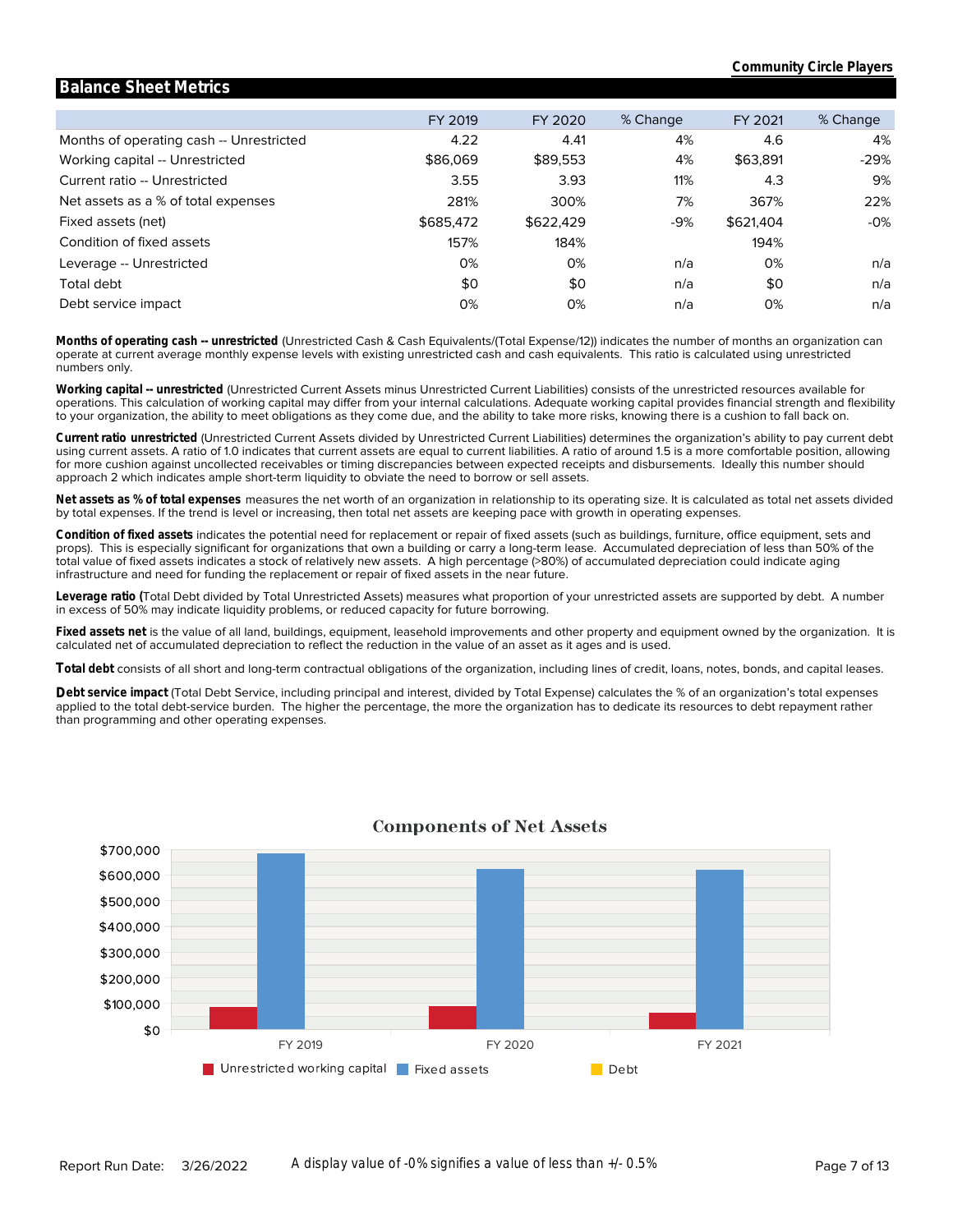#### Months of operating cash -- Unrestricted Working capital -- Unrestricted Current ratio -- Unrestricted Net assets as a % of total expenses Fixed assets (net) Condition of fixed assets Leverage -- Unrestricted Total debt Debt service impact FY 2019 4.22 \$86,069 3.55 281% \$685,472 157% 0% \$0 0% FY 2020 4.41 \$89,553 3.93 300% \$622,429 184% 0% \$0 0% % Change 4% 4% 11% 7% -9% n/a n/a n/a FY 2021 4.6 \$63,891 4.3 367% \$621,404 194% 0% \$0 0% % Change 4% -29% 9% 22% -0% n/a n/a n/a

**Balance Sheet Metrics**

numbers only. operate at current average monthly expense levels with existing unrestricted cash and cash equivalents. This ratio is calculated using unrestricted **Months of operating cash -- unrestricted** (Unrestricted Cash & Cash Equivalents/(Total Expense/12)) indicates the number of months an organization can

to your organization, the ability to meet obligations as they come due, and the ability to take more risks, knowing there is a cushion to fall back on. operations. This calculation of working capital may differ from your internal calculations. Adequate working capital provides financial strength and flexibility **Working capital -- unrestricted** (Unrestricted Current Assets minus Unrestricted Current Liabilities) consists of the unrestricted resources available for

approach 2 which indicates ample short-term liquidity to obviate the need to borrow or sell assets. for more cushion against uncollected receivables or timing discrepancies between expected receipts and disbursements. Ideally this number should using current assets. A ratio of 1.0 indicates that current assets are equal to current liabilities. A ratio of around 1.5 is a more comfortable position, allowing **Current ratio unrestricted** (Unrestricted Current Assets divided by Unrestricted Current Liabilities) determines the organization's ability to pay current debt

by total expenses. If the trend is level or increasing, then total net assets are keeping pace with growth in operating expenses. **Net assets as % of total expenses** measures the net worth of an organization in relationship to its operating size. It is calculated as total net assets divided

infrastructure and need for funding the replacement or repair of fixed assets in the near future. total value of fixed assets indicates a stock of relatively new assets. A high percentage (>80%) of accumulated depreciation could indicate aging props). This is especially significant for organizations that own a building or carry a long-term lease. Accumulated depreciation of less than 50% of the **Condition of fixed assets** indicates the potential need for replacement or repair of fixed assets (such as buildings, furniture, office equipment, sets and

in excess of 50% may indicate liquidity problems, or reduced capacity for future borrowing. **Leverage ratio (**Total Debt divided by Total Unrestricted Assets) measures what proportion of your unrestricted assets are supported by debt. A number

calculated net of accumulated depreciation to reflect the reduction in the value of an asset as it ages and is used. **Fixed assets net** is the value of all land, buildings, equipment, leasehold improvements and other property and equipment owned by the organization. It is

**Total debt** consists of all short and long-term contractual obligations of the organization, including lines of credit, loans, notes, bonds, and capital leases.

than programming and other operating expenses. applied to the total debt-service burden. The higher the percentage, the more the organization has to dedicate its resources to debt repayment rather Debt service impact (Total Debt Service, including principal and interest, divided by Total Expense) calculates the % of an organization's total expenses



### **Components of Net Assets**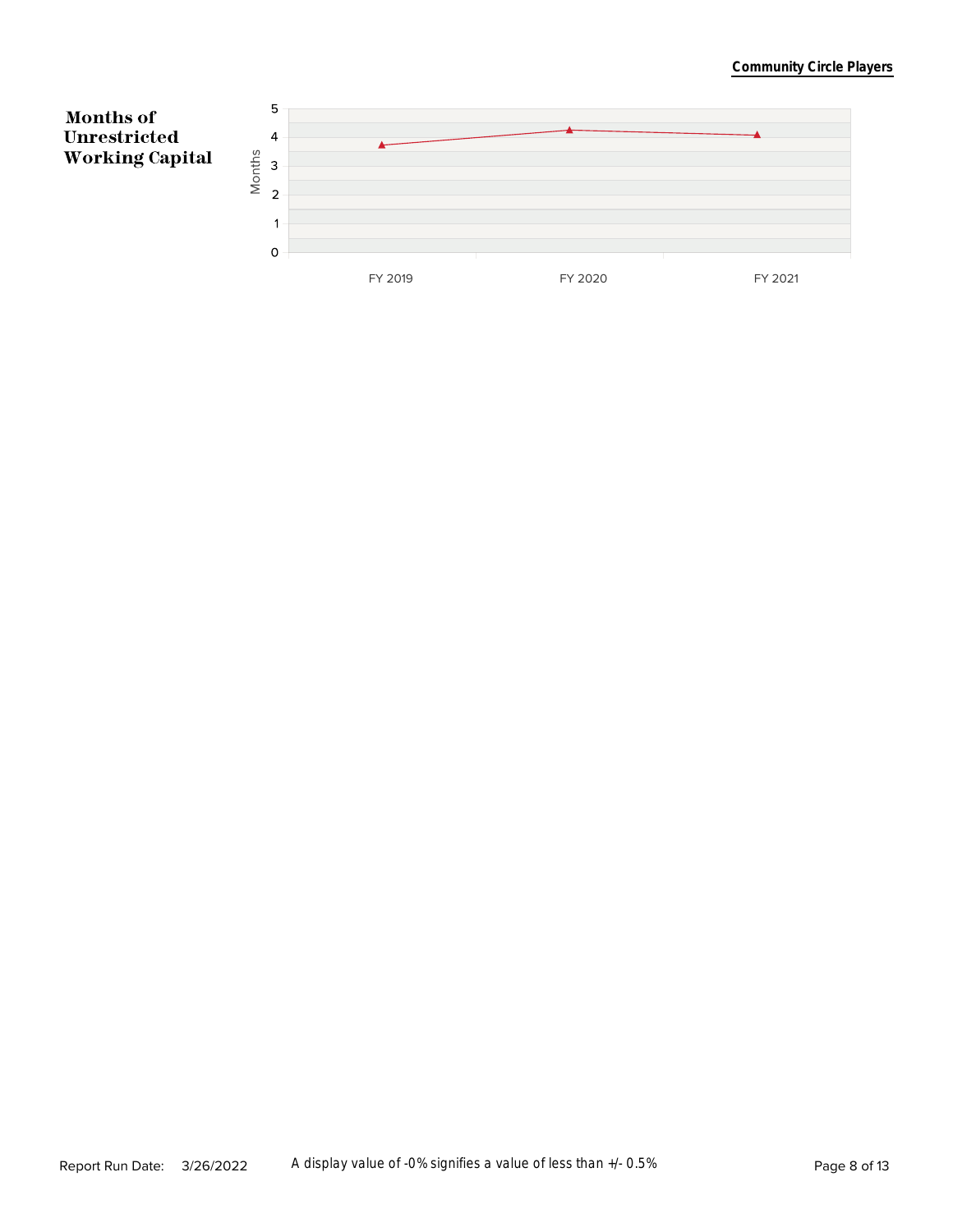#### **Community Circle Players**

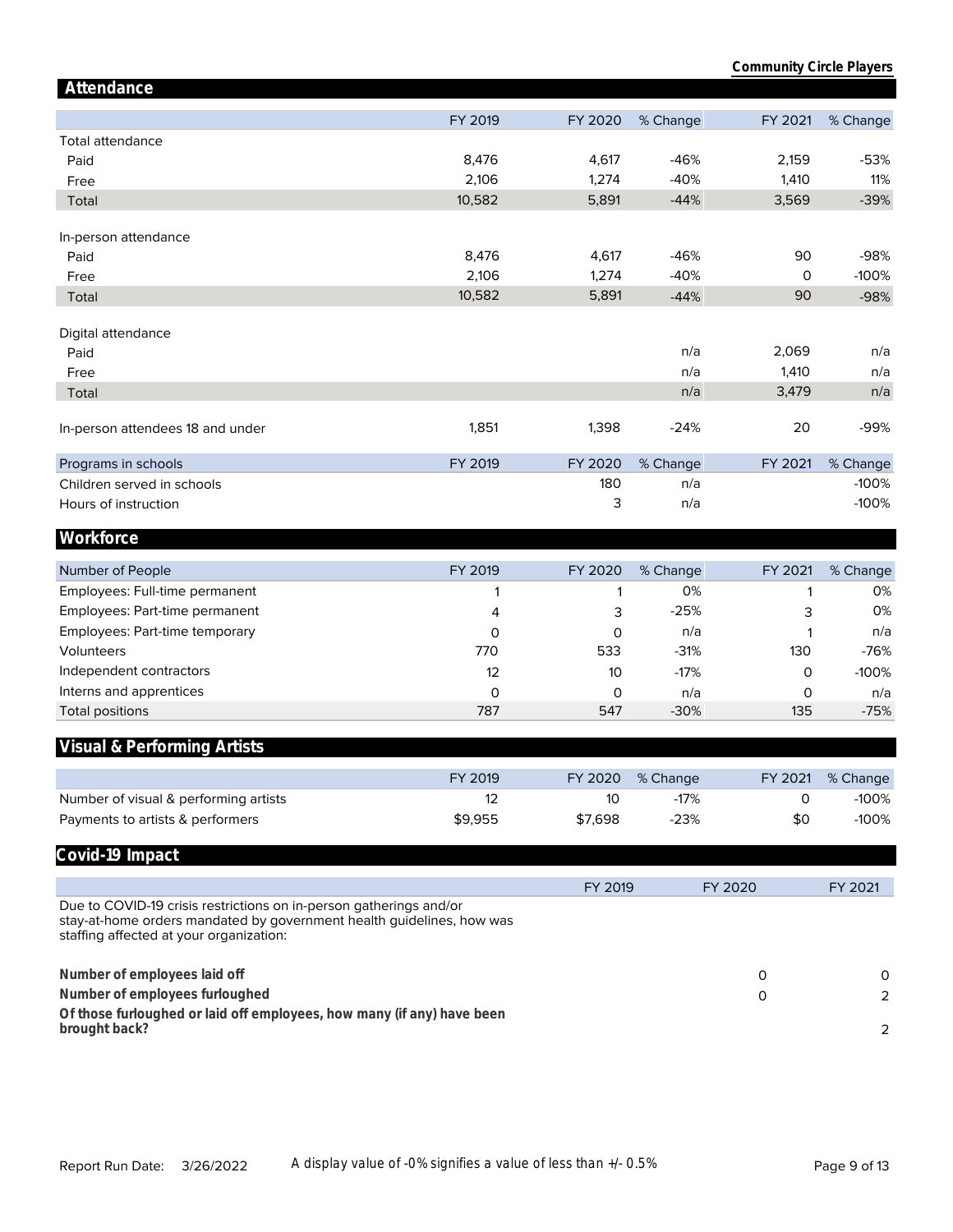| Attendance                                                                                                                                                                             |         |         |          |         |          |
|----------------------------------------------------------------------------------------------------------------------------------------------------------------------------------------|---------|---------|----------|---------|----------|
|                                                                                                                                                                                        | FY 2019 | FY 2020 | % Change | FY 2021 | % Change |
| Total attendance                                                                                                                                                                       |         |         |          |         |          |
| Paid                                                                                                                                                                                   | 8,476   | 4,617   | $-46%$   | 2,159   | $-53%$   |
| Free                                                                                                                                                                                   | 2,106   | 1,274   | $-40%$   | 1,410   | 11%      |
| Total                                                                                                                                                                                  | 10,582  | 5,891   | $-44%$   | 3,569   | $-39%$   |
|                                                                                                                                                                                        |         |         |          |         |          |
| In-person attendance<br>Paid                                                                                                                                                           | 8,476   | 4,617   | $-46%$   | 90      | $-98%$   |
|                                                                                                                                                                                        | 2,106   | 1,274   | $-40%$   | 0       | $-100%$  |
| Free<br>Total                                                                                                                                                                          | 10,582  | 5,891   | $-44%$   | 90      | $-98%$   |
|                                                                                                                                                                                        |         |         |          |         |          |
| Digital attendance                                                                                                                                                                     |         |         |          |         |          |
| Paid                                                                                                                                                                                   |         |         | n/a      | 2,069   | n/a      |
| Free                                                                                                                                                                                   |         |         | n/a      | 1,410   | n/a      |
| Total                                                                                                                                                                                  |         |         | n/a      | 3,479   | n/a      |
| In-person attendees 18 and under                                                                                                                                                       | 1,851   | 1,398   | $-24%$   | 20      | -99%     |
| Programs in schools                                                                                                                                                                    | FY 2019 | FY 2020 | % Change | FY 2021 | % Change |
| Children served in schools                                                                                                                                                             |         | 180     | n/a      |         | $-100%$  |
| Hours of instruction                                                                                                                                                                   |         | 3       | n/a      |         | $-100%$  |
| Workforce                                                                                                                                                                              |         |         |          |         |          |
|                                                                                                                                                                                        |         |         |          |         |          |
| Number of People                                                                                                                                                                       | FY 2019 | FY 2020 | % Change | FY 2021 | % Change |
| Employees: Full-time permanent                                                                                                                                                         | 1       | 1       | 0%       | 1       | 0%       |
| Employees: Part-time permanent                                                                                                                                                         | 4       | 3       | $-25%$   | 3       | 0%       |
| Employees: Part-time temporary                                                                                                                                                         | 0       | 0       | n/a      | 1       | n/a      |
| Volunteers                                                                                                                                                                             | 770     | 533     | $-31%$   | 130     | $-76%$   |
| Independent contractors                                                                                                                                                                | 12      | 10      | $-17%$   | 0       | $-100%$  |
| Interns and apprentices                                                                                                                                                                | 0       | 0       | n/a      | 0       | n/a      |
| <b>Total positions</b>                                                                                                                                                                 | 787     | 547     | $-30%$   | 135     | $-75%$   |
| Visual & Performing Artists                                                                                                                                                            |         |         |          |         |          |
|                                                                                                                                                                                        | FY 2019 | FY 2020 | % Change | FY 2021 | % Change |
| Number of visual & performing artists                                                                                                                                                  | 12      | 10      | $-17%$   | 0       | $-100%$  |
| Payments to artists & performers                                                                                                                                                       | \$9,955 | \$7,698 | $-23%$   | \$0     | $-100%$  |
| Covid-19 Impact                                                                                                                                                                        |         |         |          |         |          |
|                                                                                                                                                                                        |         |         |          |         |          |
|                                                                                                                                                                                        |         | FY 2019 |          | FY 2020 | FY 2021  |
| Due to COVID-19 crisis restrictions on in-person gatherings and/or<br>stay-at-home orders mandated by government health guidelines, how was<br>staffing affected at your organization: |         |         |          |         |          |
| Number of employees laid off                                                                                                                                                           |         |         |          | 0       | 0        |
| Number of employees furloughed                                                                                                                                                         |         |         |          | 0       | 2        |
| Of those furloughed or laid off employees, how many (if any) have been                                                                                                                 |         |         |          |         |          |
| brought back?                                                                                                                                                                          |         |         |          |         |          |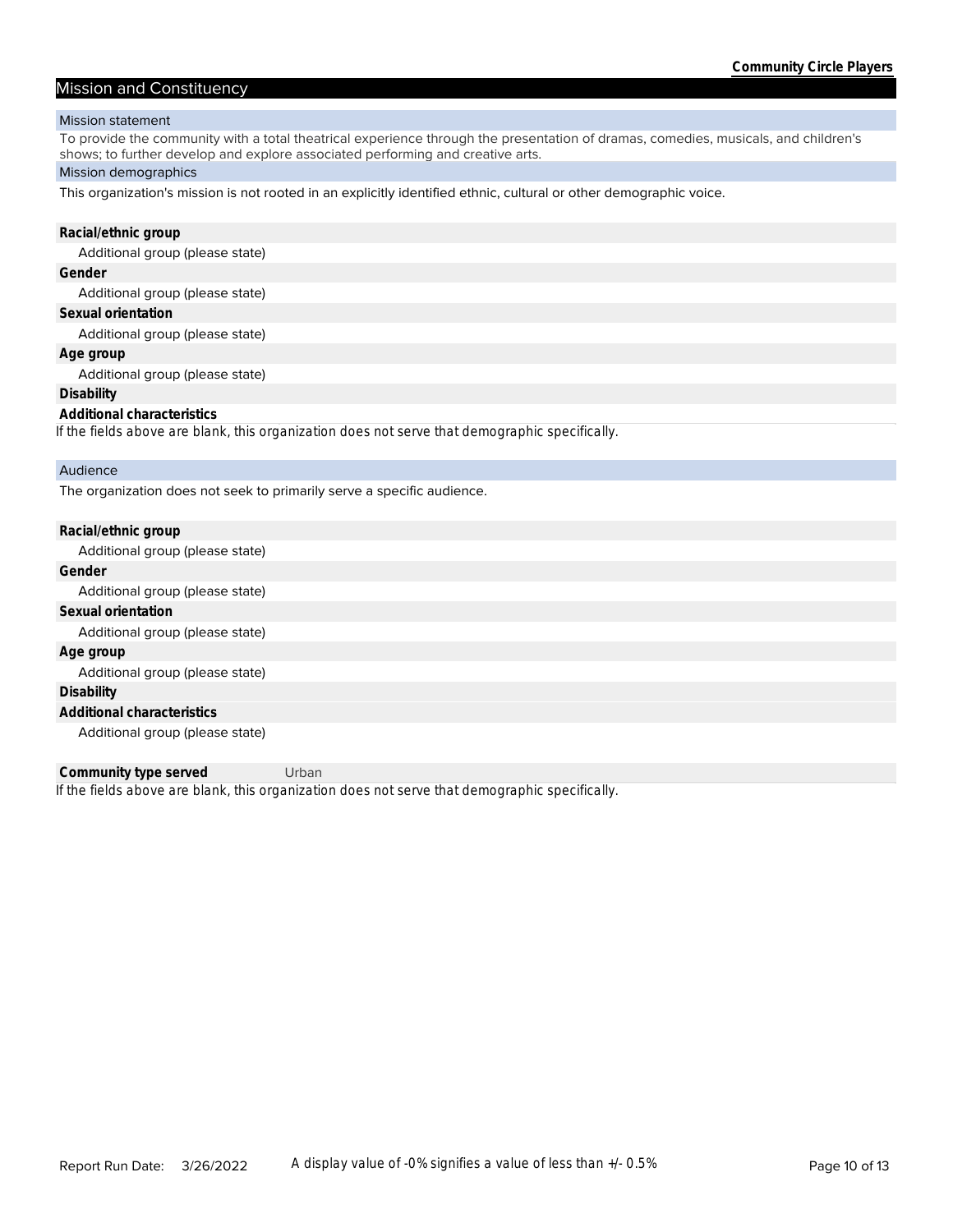#### Mission and Constituency

#### Mission statement

To provide the community with a total theatrical experience through the presentation of dramas, comedies, musicals, and children's shows; to further develop and explore associated performing and creative arts.

#### Mission demographics

This organization's mission is not rooted in an explicitly identified ethnic, cultural or other demographic voice.

# **Racial/ethnic group**

Additional group (please state)

## **Gender**

Additional group (please state)

#### **Sexual orientation**

Additional group (please state)

#### **Age group**

Additional group (please state)

#### **Disability**

#### **Additional characteristics**

*If the fields above are blank, this organization does not serve that demographic specifically.*

#### Audience

The organization does not seek to primarily serve a specific audience.

| Racial/ethnic group             |
|---------------------------------|
| Additional group (please state) |
| Gender                          |
| Additional group (please state) |
| Sexual orientation              |
| Additional group (please state) |
| Age group                       |
| Additional group (please state) |
| Disability                      |
| Additional characteristics      |
| Additional group (please state) |

*If the fields above are blank, this organization does not serve that demographic specifically.* **Community type served** Urban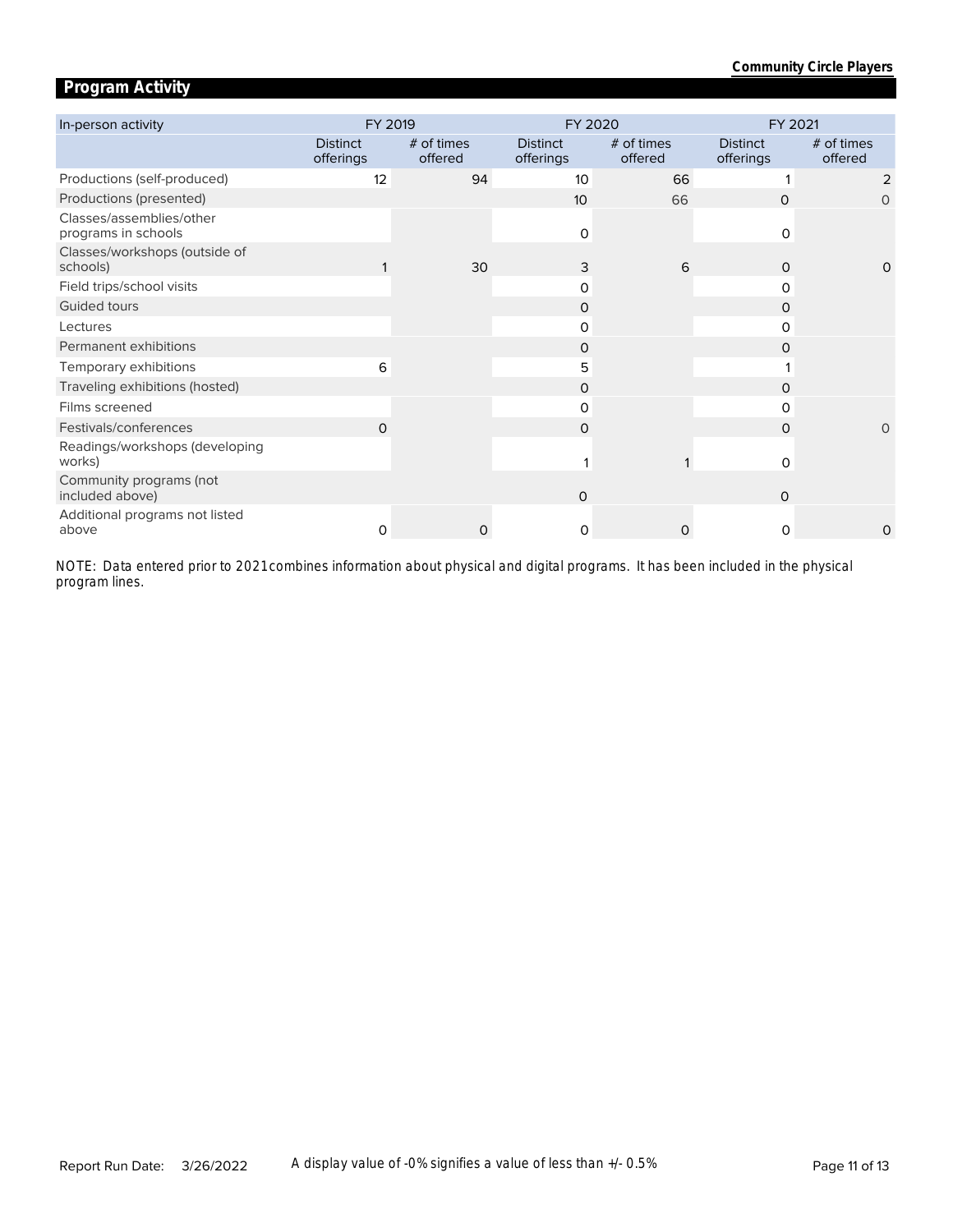# **Program Activity**

| In-person activity                              | FY 2019                      |                       | FY 2020                      |                       | FY 2021                      |                       |  |
|-------------------------------------------------|------------------------------|-----------------------|------------------------------|-----------------------|------------------------------|-----------------------|--|
|                                                 | <b>Distinct</b><br>offerings | # of times<br>offered | <b>Distinct</b><br>offerings | # of times<br>offered | <b>Distinct</b><br>offerings | # of times<br>offered |  |
| Productions (self-produced)                     | 12                           | 94                    | 10                           | 66                    |                              | 2                     |  |
| Productions (presented)                         |                              |                       | 10                           | 66                    | 0                            | 0                     |  |
| Classes/assemblies/other<br>programs in schools |                              |                       | $\mathbf 0$                  |                       | O                            |                       |  |
| Classes/workshops (outside of<br>schools)       |                              | 30                    | 3                            | 6                     | $\Omega$                     | $\Omega$              |  |
| Field trips/school visits                       |                              |                       | 0                            |                       | 0                            |                       |  |
| Guided tours                                    |                              |                       | 0                            |                       | 0                            |                       |  |
| Lectures                                        |                              |                       | 0                            |                       | 0                            |                       |  |
| Permanent exhibitions                           |                              |                       | 0                            |                       | 0                            |                       |  |
| Temporary exhibitions                           | 6                            |                       | 5                            |                       |                              |                       |  |
| Traveling exhibitions (hosted)                  |                              |                       | 0                            |                       | 0                            |                       |  |
| Films screened                                  |                              |                       | $\Omega$                     |                       | 0                            |                       |  |
| Festivals/conferences                           | $\Omega$                     |                       | $\Omega$                     |                       | $\Omega$                     | $\Omega$              |  |
| Readings/workshops (developing<br>works)        |                              |                       |                              |                       | O                            |                       |  |
| Community programs (not<br>included above)      |                              |                       | $\mathsf{O}$                 |                       | $\mathbf 0$                  |                       |  |
| Additional programs not listed<br>above         | 0                            | O                     | 0                            | $\Omega$              | 0                            | $\Omega$              |  |

*program lines. NOTE: Data entered prior to 2021 combines information about physical and digital programs. It has been included in the physical*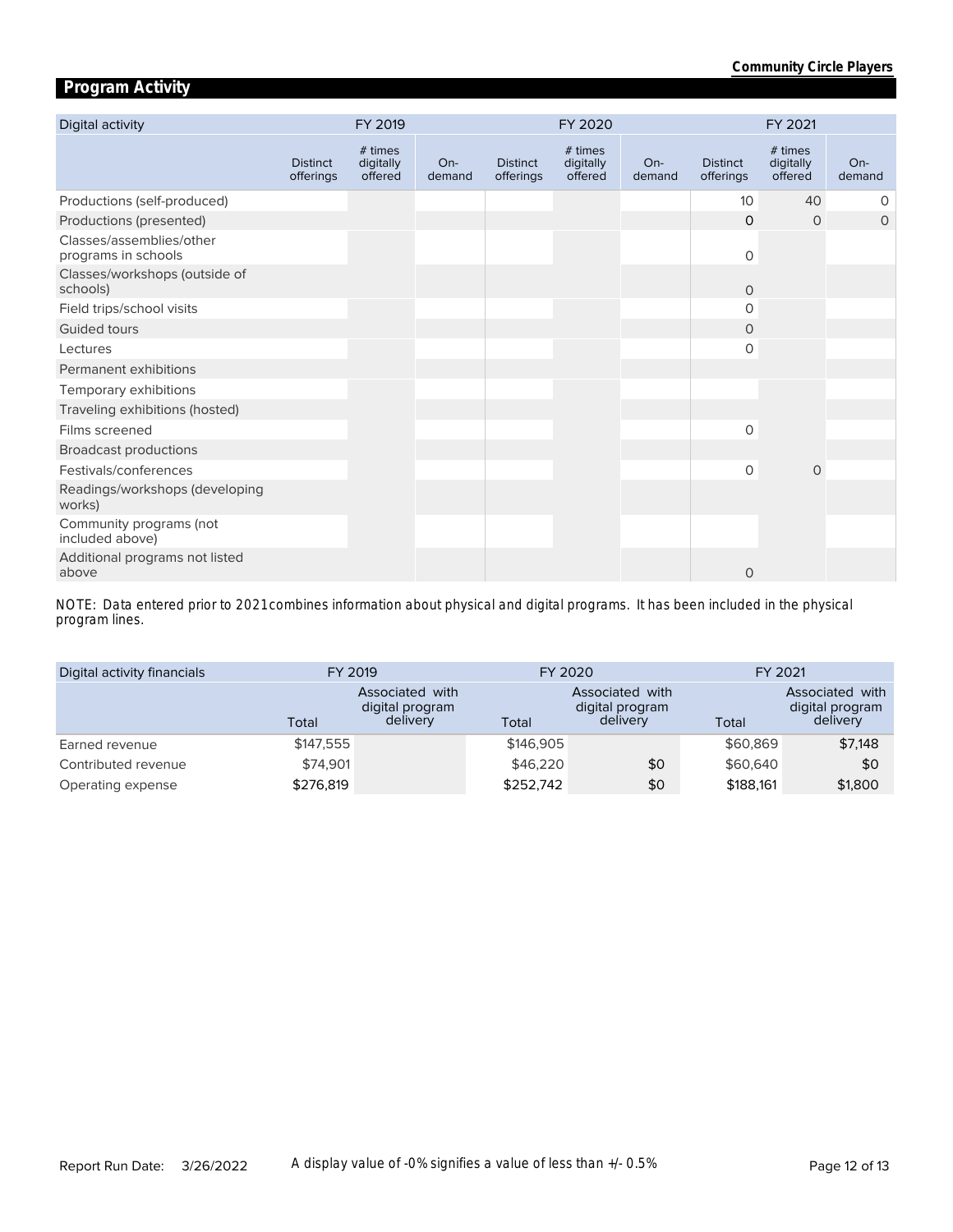# **Program Activity**

| Digital activity                                |                              | FY 2019                         |                 |                              | FY 2020                         |                 |                              | FY 2021                         |                 |
|-------------------------------------------------|------------------------------|---------------------------------|-----------------|------------------------------|---------------------------------|-----------------|------------------------------|---------------------------------|-----------------|
|                                                 | <b>Distinct</b><br>offerings | # times<br>digitally<br>offered | $On-$<br>demand | <b>Distinct</b><br>offerings | # times<br>digitally<br>offered | $On-$<br>demand | <b>Distinct</b><br>offerings | # times<br>digitally<br>offered | $On-$<br>demand |
| Productions (self-produced)                     |                              |                                 |                 |                              |                                 |                 | 10 <sup>°</sup>              | 40                              | 0               |
| Productions (presented)                         |                              |                                 |                 |                              |                                 |                 | $\Omega$                     | $\circ$                         | $\circ$         |
| Classes/assemblies/other<br>programs in schools |                              |                                 |                 |                              |                                 |                 | $\circ$                      |                                 |                 |
| Classes/workshops (outside of<br>schools)       |                              |                                 |                 |                              |                                 |                 | $\Omega$                     |                                 |                 |
| Field trips/school visits                       |                              |                                 |                 |                              |                                 |                 | 0                            |                                 |                 |
| Guided tours                                    |                              |                                 |                 |                              |                                 |                 | 0                            |                                 |                 |
| Lectures                                        |                              |                                 |                 |                              |                                 |                 | 0                            |                                 |                 |
| Permanent exhibitions                           |                              |                                 |                 |                              |                                 |                 |                              |                                 |                 |
| Temporary exhibitions                           |                              |                                 |                 |                              |                                 |                 |                              |                                 |                 |
| Traveling exhibitions (hosted)                  |                              |                                 |                 |                              |                                 |                 |                              |                                 |                 |
| Films screened                                  |                              |                                 |                 |                              |                                 |                 | 0                            |                                 |                 |
| <b>Broadcast productions</b>                    |                              |                                 |                 |                              |                                 |                 |                              |                                 |                 |
| Festivals/conferences                           |                              |                                 |                 |                              |                                 |                 | $\circ$                      | $\mathbf 0$                     |                 |
| Readings/workshops (developing<br>works)        |                              |                                 |                 |                              |                                 |                 |                              |                                 |                 |
| Community programs (not<br>included above)      |                              |                                 |                 |                              |                                 |                 |                              |                                 |                 |
| Additional programs not listed<br>above         |                              |                                 |                 |                              |                                 |                 | $\mathbf 0$                  |                                 |                 |

*program lines. NOTE: Data entered prior to 2021 combines information about physical and digital programs. It has been included in the physical* 

| Digital activity financials | FY 2019   |                                                       | FY 2020   |                                                | FY 2021   |                                                |  |
|-----------------------------|-----------|-------------------------------------------------------|-----------|------------------------------------------------|-----------|------------------------------------------------|--|
|                             | Total     | <b>Associated with</b><br>digital program<br>delivery | Total     | Associated with<br>digital program<br>delivery | Total     | Associated with<br>digital program<br>delivery |  |
| Earned revenue              | \$147.555 |                                                       | \$146,905 |                                                | \$60,869  | \$7,148                                        |  |
| Contributed revenue         | \$74,901  |                                                       | \$46,220  | \$0                                            | \$60,640  | \$0                                            |  |
| Operating expense           | \$276,819 |                                                       | \$252,742 | \$0                                            | \$188,161 | \$1,800                                        |  |